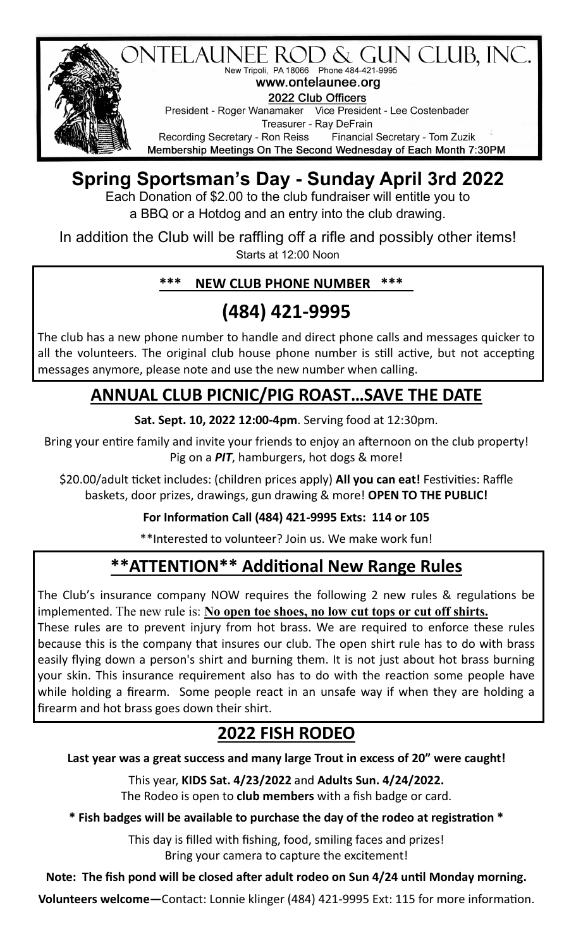

# **Spring Sportsman's Day - Sunday April 3rd 2022**

Each Donation of \$2.00 to the club fundraiser will entitle you to a BBQ or a Hotdog and an entry into the club drawing.

In addition the Club will be raffling off a rifle and possibly other items! Starts at 12:00 Noon

## **\*\*\* NEW CLUB PHONE NUMBER \*\*\***

# **(484) 421-9995**

The club has a new phone number to handle and direct phone calls and messages quicker to all the volunteers. The original club house phone number is still active, but not accepting messages anymore, please note and use the new number when calling.

## **ANNUAL CLUB PICNIC/PIG ROAST…SAVE THE DATE**

**Sat. Sept. 10, 2022 12:00-4pm**. Serving food at 12:30pm.

Bring your entire family and invite your friends to enjoy an afternoon on the club property! Pig on a *PIT*, hamburgers, hot dogs & more!

\$20.00/adult ticket includes: (children prices apply) **All you can eat!** Festivities: Raffle baskets, door prizes, drawings, gun drawing & more! **OPEN TO THE PUBLIC!** 

## **For Information Call (484) 421-9995 Exts: 114 or 105**

\*\*Interested to volunteer? Join us. We make work fun!

# **\*\*ATTENTION\*\* Additional New Range Rules**

The Club's insurance company NOW requires the following 2 new rules & regulations be implemented. The new rule is: **No open toe shoes, no low cut tops or cut off shirts.**

These rules are to prevent injury from hot brass. We are required to enforce these rules because this is the company that insures our club. The open shirt rule has to do with brass easily flying down a person's shirt and burning them. It is not just about hot brass burning your skin. This insurance requirement also has to do with the reaction some people have while holding a firearm. Some people react in an unsafe way if when they are holding a firearm and hot brass goes down their shirt.

# **2022 FISH RODEO**

**Last year was a great success and many large Trout in excess of 20" were caught!**

This year, **KIDS Sat. 4/23/2022** and **Adults Sun. 4/24/2022.** The Rodeo is open to **club members** with a fish badge or card.

**\* Fish badges will be available to purchase the day of the rodeo at registration \*** 

This day is filled with fishing, food, smiling faces and prizes! Bring your camera to capture the excitement!

## **Note: The fish pond will be closed after adult rodeo on Sun 4/24 until Monday morning.**

**Volunteers welcome—**Contact: Lonnie klinger (484) 421-9995 Ext: 115 for more information.